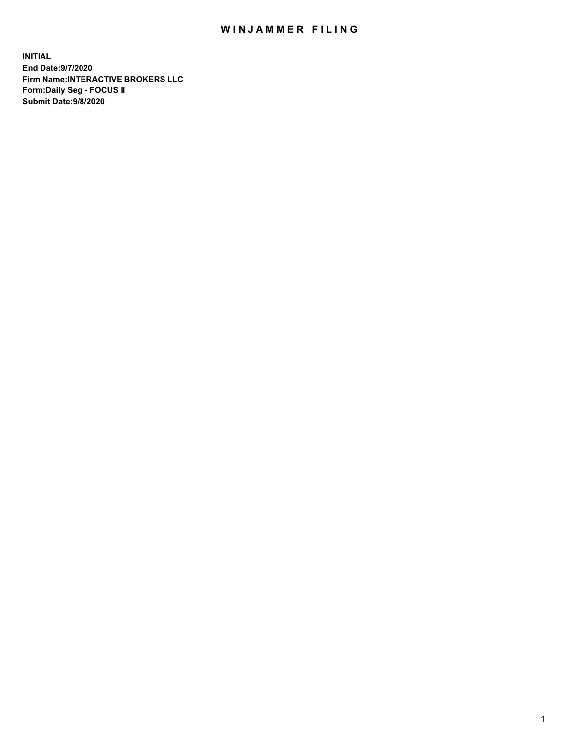## WIN JAMMER FILING

**INITIAL End Date:9/7/2020 Firm Name:INTERACTIVE BROKERS LLC Form:Daily Seg - FOCUS II Submit Date:9/8/2020**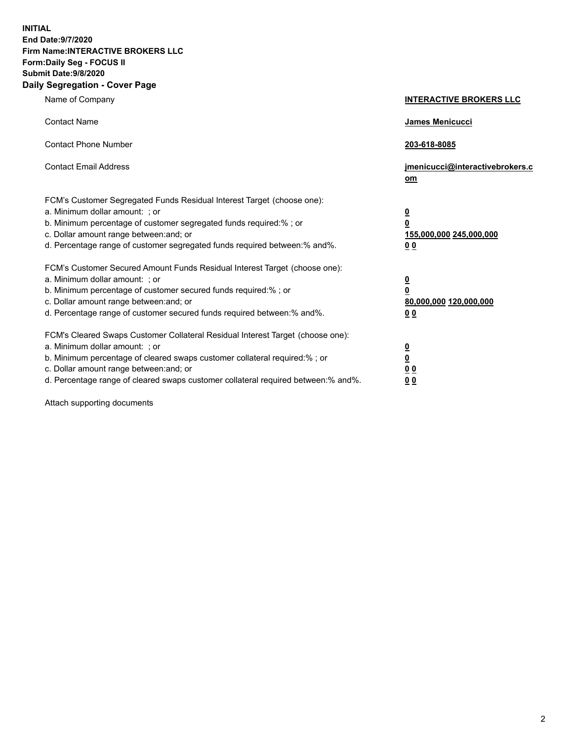**INITIAL End Date:9/7/2020 Firm Name:INTERACTIVE BROKERS LLC Form:Daily Seg - FOCUS II Submit Date:9/8/2020 Daily Segregation - Cover Page**

| Name of Company                                                                                                                                                                                                                                                                                                               | <b>INTERACTIVE BROKERS LLC</b>                                                             |
|-------------------------------------------------------------------------------------------------------------------------------------------------------------------------------------------------------------------------------------------------------------------------------------------------------------------------------|--------------------------------------------------------------------------------------------|
| <b>Contact Name</b>                                                                                                                                                                                                                                                                                                           | <b>James Menicucci</b>                                                                     |
| <b>Contact Phone Number</b>                                                                                                                                                                                                                                                                                                   | 203-618-8085                                                                               |
| <b>Contact Email Address</b>                                                                                                                                                                                                                                                                                                  | jmenicucci@interactivebrokers.c<br>om                                                      |
| FCM's Customer Segregated Funds Residual Interest Target (choose one):<br>a. Minimum dollar amount: : or<br>b. Minimum percentage of customer segregated funds required:% ; or<br>c. Dollar amount range between: and; or<br>d. Percentage range of customer segregated funds required between:% and%.                        | $\overline{\mathbf{0}}$<br>0<br>155,000,000 245,000,000<br><u>00</u>                       |
| FCM's Customer Secured Amount Funds Residual Interest Target (choose one):<br>a. Minimum dollar amount: ; or<br>b. Minimum percentage of customer secured funds required:% ; or<br>c. Dollar amount range between: and; or<br>d. Percentage range of customer secured funds required between:% and%.                          | $\overline{\mathbf{0}}$<br>$\overline{\mathbf{0}}$<br>80,000,000 120,000,000<br><u>0 0</u> |
| FCM's Cleared Swaps Customer Collateral Residual Interest Target (choose one):<br>a. Minimum dollar amount: ; or<br>b. Minimum percentage of cleared swaps customer collateral required:%; or<br>c. Dollar amount range between: and; or<br>d. Percentage range of cleared swaps customer collateral required between:% and%. | $\frac{0}{0}$<br>0 <sub>0</sub><br>0 <sub>0</sub>                                          |

Attach supporting documents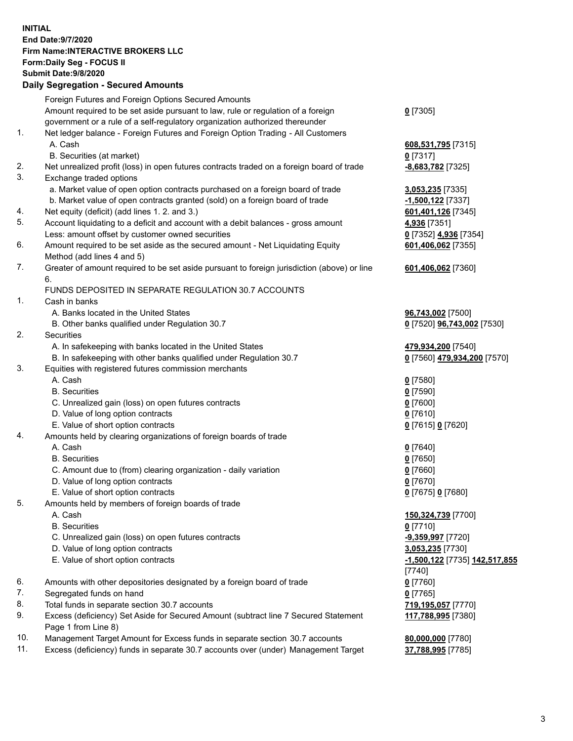**INITIAL End Date:9/7/2020 Firm Name:INTERACTIVE BROKERS LLC Form:Daily Seg - FOCUS II Submit Date:9/8/2020 Daily Segregation - Secured Amounts**

|     | Daily Segregation - Secureu Amounts                                                         |                                      |
|-----|---------------------------------------------------------------------------------------------|--------------------------------------|
|     | Foreign Futures and Foreign Options Secured Amounts                                         |                                      |
|     | Amount required to be set aside pursuant to law, rule or regulation of a foreign            | $0$ [7305]                           |
|     | government or a rule of a self-regulatory organization authorized thereunder                |                                      |
| 1.  | Net ledger balance - Foreign Futures and Foreign Option Trading - All Customers             |                                      |
|     | A. Cash                                                                                     | 608,531,795 [7315]                   |
|     | B. Securities (at market)                                                                   | $0$ [7317]                           |
| 2.  | Net unrealized profit (loss) in open futures contracts traded on a foreign board of trade   | -8,683,782 [7325]                    |
| 3.  | Exchange traded options                                                                     |                                      |
|     | a. Market value of open option contracts purchased on a foreign board of trade              | 3,053,235 [7335]                     |
|     | b. Market value of open contracts granted (sold) on a foreign board of trade                | -1,500,122 <sup>[7337]</sup>         |
| 4.  | Net equity (deficit) (add lines 1. 2. and 3.)                                               | 601,401,126 [7345]                   |
| 5.  | Account liquidating to a deficit and account with a debit balances - gross amount           | 4,936 [7351]                         |
|     | Less: amount offset by customer owned securities                                            |                                      |
| 6.  |                                                                                             | 0 [7352] 4,936 [7354]                |
|     | Amount required to be set aside as the secured amount - Net Liquidating Equity              | 601,406,062 [7355]                   |
| 7.  | Method (add lines 4 and 5)                                                                  |                                      |
|     | Greater of amount required to be set aside pursuant to foreign jurisdiction (above) or line | 601,406,062 [7360]                   |
|     | 6.                                                                                          |                                      |
|     | FUNDS DEPOSITED IN SEPARATE REGULATION 30.7 ACCOUNTS                                        |                                      |
| 1.  | Cash in banks                                                                               |                                      |
|     | A. Banks located in the United States                                                       | 96,743,002 [7500]                    |
|     | B. Other banks qualified under Regulation 30.7                                              | 0 [7520] 96,743,002 [7530]           |
| 2.  | <b>Securities</b>                                                                           |                                      |
|     | A. In safekeeping with banks located in the United States                                   | 479,934,200 [7540]                   |
|     | B. In safekeeping with other banks qualified under Regulation 30.7                          | 0 [7560] 479,934,200 [7570]          |
| 3.  | Equities with registered futures commission merchants                                       |                                      |
|     | A. Cash                                                                                     | $0$ [7580]                           |
|     | <b>B.</b> Securities                                                                        | $0$ [7590]                           |
|     | C. Unrealized gain (loss) on open futures contracts                                         | $0$ [7600]                           |
|     | D. Value of long option contracts                                                           | $0$ [7610]                           |
|     | E. Value of short option contracts                                                          | 0 [7615] 0 [7620]                    |
| 4.  | Amounts held by clearing organizations of foreign boards of trade                           |                                      |
|     | A. Cash                                                                                     | $0$ [7640]                           |
|     | <b>B.</b> Securities                                                                        | $0$ [7650]                           |
|     | C. Amount due to (from) clearing organization - daily variation                             | $0$ [7660]                           |
|     | D. Value of long option contracts                                                           | $0$ [7670]                           |
|     | E. Value of short option contracts                                                          | 0 [7675] 0 [7680]                    |
| 5.  | Amounts held by members of foreign boards of trade                                          |                                      |
|     | A. Cash                                                                                     | 150,324,739 [7700]                   |
|     | <b>B.</b> Securities                                                                        | $0$ [7710]                           |
|     | C. Unrealized gain (loss) on open futures contracts                                         | -9,359,997 [7720]                    |
|     | D. Value of long option contracts                                                           | 3,053,235 [7730]                     |
|     | E. Value of short option contracts                                                          | <u>-1,500,122</u> [7735] 142,517,855 |
|     |                                                                                             | $[7740]$                             |
| 6.  | Amounts with other depositories designated by a foreign board of trade                      | $0$ [7760]                           |
| 7.  | Segregated funds on hand                                                                    | $0$ [7765]                           |
| 8.  | Total funds in separate section 30.7 accounts                                               | 719,195,057 [7770]                   |
| 9.  | Excess (deficiency) Set Aside for Secured Amount (subtract line 7 Secured Statement         | 117,788,995 [7380]                   |
|     | Page 1 from Line 8)                                                                         |                                      |
| 10. | Management Target Amount for Excess funds in separate section 30.7 accounts                 | 80,000,000 [7780]                    |
| 11. | Excess (deficiency) funds in separate 30.7 accounts over (under) Management Target          | 37,788,995 [7785]                    |
|     |                                                                                             |                                      |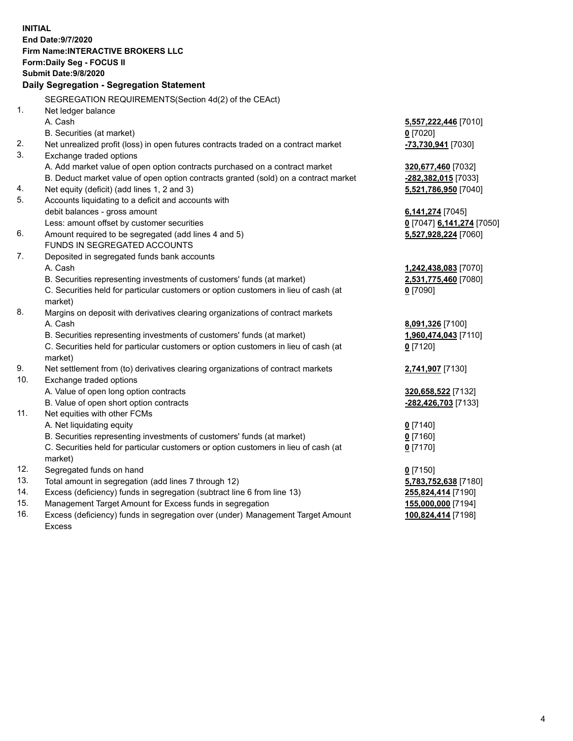**INITIAL End Date:9/7/2020 Firm Name:INTERACTIVE BROKERS LLC Form:Daily Seg - FOCUS II Submit Date:9/8/2020 Daily Segregation - Segregation Statement** SEGREGATION REQUIREMENTS(Section 4d(2) of the CEAct) 1. Net ledger balance A. Cash **5,557,222,446** [7010] B. Securities (at market) **0** [7020] 2. Net unrealized profit (loss) in open futures contracts traded on a contract market **-73,730,941** [7030] 3. Exchange traded options A. Add market value of open option contracts purchased on a contract market **320,677,460** [7032] B. Deduct market value of open option contracts granted (sold) on a contract market **-282,382,015** [7033] 4. Net equity (deficit) (add lines 1, 2 and 3) **5,521,786,950** [7040] 5. Accounts liquidating to a deficit and accounts with debit balances - gross amount **6,141,274** [7045] Less: amount offset by customer securities **0** [7047] **6,141,274** [7050] 6. Amount required to be segregated (add lines 4 and 5) **5,527,928,224** [7060] FUNDS IN SEGREGATED ACCOUNTS 7. Deposited in segregated funds bank accounts A. Cash **1,242,438,083** [7070] B. Securities representing investments of customers' funds (at market) **2,531,775,460** [7080] C. Securities held for particular customers or option customers in lieu of cash (at market) **0** [7090] 8. Margins on deposit with derivatives clearing organizations of contract markets A. Cash **8,091,326** [7100] B. Securities representing investments of customers' funds (at market) **1,960,474,043** [7110] C. Securities held for particular customers or option customers in lieu of cash (at market) **0** [7120] 9. Net settlement from (to) derivatives clearing organizations of contract markets **2,741,907** [7130] 10. Exchange traded options A. Value of open long option contracts **320,658,522** [7132] B. Value of open short option contracts **-282,426,703** [7133] 11. Net equities with other FCMs A. Net liquidating equity **0** [7140] B. Securities representing investments of customers' funds (at market) **0** [7160] C. Securities held for particular customers or option customers in lieu of cash (at market) **0** [7170] 12. Segregated funds on hand **0** [7150] 13. Total amount in segregation (add lines 7 through 12) **5,783,752,638** [7180] 14. Excess (deficiency) funds in segregation (subtract line 6 from line 13) **255,824,414** [7190] 15. Management Target Amount for Excess funds in segregation **155,000,000** [7194] 16. Excess (deficiency) funds in segregation over (under) Management Target Amount **100,824,414** [7198]

Excess